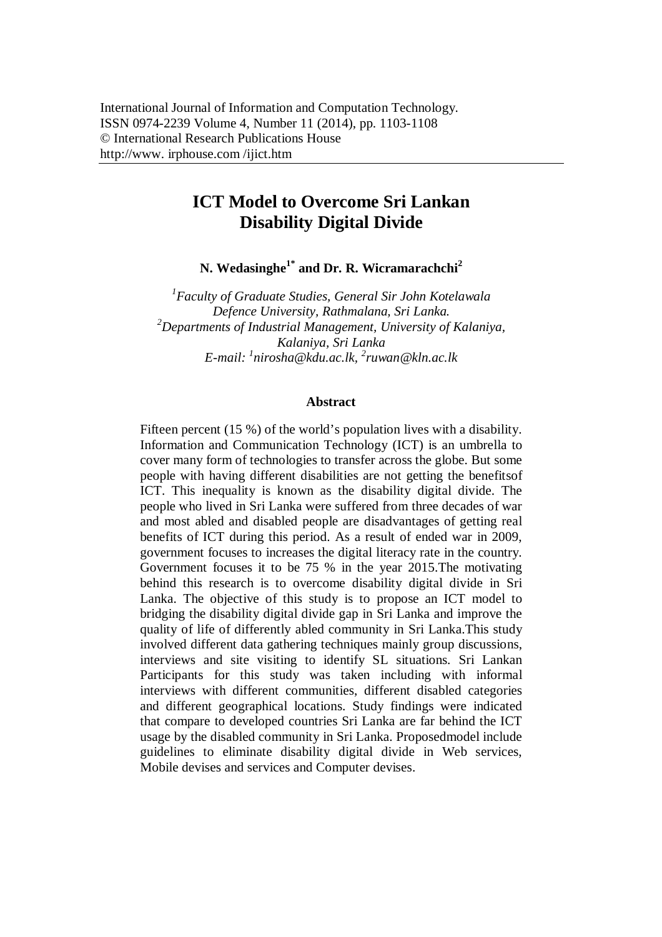# **ICT Model to Overcome Sri Lankan Disability Digital Divide**

**N. Wedasinghe1\* and Dr. R. Wicramarachchi<sup>2</sup>**

*1 Faculty of Graduate Studies, General Sir John Kotelawala Defence University, Rathmalana, Sri Lanka. <sup>2</sup>Departments of Industrial Management, University of Kalaniya, Kalaniya, Sri Lanka E-mail: <sup>1</sup> nirosha@kdu.ac.lk, 2 ruwan@kln.ac.lk*

#### **Abstract**

Fifteen percent (15 %) of the world's population lives with a disability. Information and Communication Technology (ICT) is an umbrella to cover many form of technologies to transfer across the globe. But some people with having different disabilities are not getting the benefitsof ICT. This inequality is known as the disability digital divide. The people who lived in Sri Lanka were suffered from three decades of war and most abled and disabled people are disadvantages of getting real benefits of ICT during this period. As a result of ended war in 2009, government focuses to increases the digital literacy rate in the country. Government focuses it to be 75 % in the year 2015.The motivating behind this research is to overcome disability digital divide in Sri Lanka. The objective of this study is to propose an ICT model to bridging the disability digital divide gap in Sri Lanka and improve the quality of life of differently abled community in Sri Lanka.This study involved different data gathering techniques mainly group discussions, interviews and site visiting to identify SL situations. Sri Lankan Participants for this study was taken including with informal interviews with different communities, different disabled categories and different geographical locations. Study findings were indicated that compare to developed countries Sri Lanka are far behind the ICT usage by the disabled community in Sri Lanka. Proposedmodel include guidelines to eliminate disability digital divide in Web services, Mobile devises and services and Computer devises.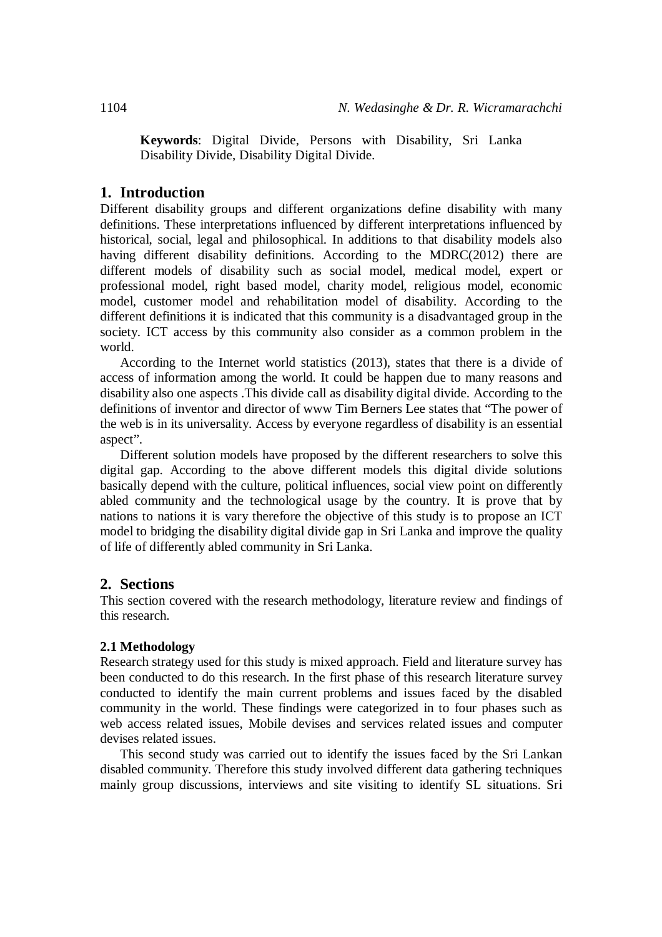**Keywords**: Digital Divide, Persons with Disability, Sri Lanka Disability Divide, Disability Digital Divide.

### **1. Introduction**

Different disability groups and different organizations define disability with many definitions. These interpretations influenced by different interpretations influenced by historical, social, legal and philosophical. In additions to that disability models also having different disability definitions. According to the MDRC(2012) there are different models of disability such as social model, medical model, expert or professional model, right based model, charity model, religious model, economic model, customer model and rehabilitation model of disability. According to the different definitions it is indicated that this community is a disadvantaged group in the society. ICT access by this community also consider as a common problem in the world.

According to the Internet world statistics (2013), states that there is a divide of access of information among the world. It could be happen due to many reasons and disability also one aspects .This divide call as disability digital divide. According to the definitions of inventor and director of www Tim Berners Lee states that "The power of the web is in its universality. Access by everyone regardless of disability is an essential aspect".

Different solution models have proposed by the different researchers to solve this digital gap. According to the above different models this digital divide solutions basically depend with the culture, political influences, social view point on differently abled community and the technological usage by the country. It is prove that by nations to nations it is vary therefore the objective of this study is to propose an ICT model to bridging the disability digital divide gap in Sri Lanka and improve the quality of life of differently abled community in Sri Lanka.

#### **2. Sections**

This section covered with the research methodology, literature review and findings of this research.

#### **2.1 Methodology**

Research strategy used for this study is mixed approach. Field and literature survey has been conducted to do this research. In the first phase of this research literature survey conducted to identify the main current problems and issues faced by the disabled community in the world. These findings were categorized in to four phases such as web access related issues, Mobile devises and services related issues and computer devises related issues.

This second study was carried out to identify the issues faced by the Sri Lankan disabled community. Therefore this study involved different data gathering techniques mainly group discussions, interviews and site visiting to identify SL situations. Sri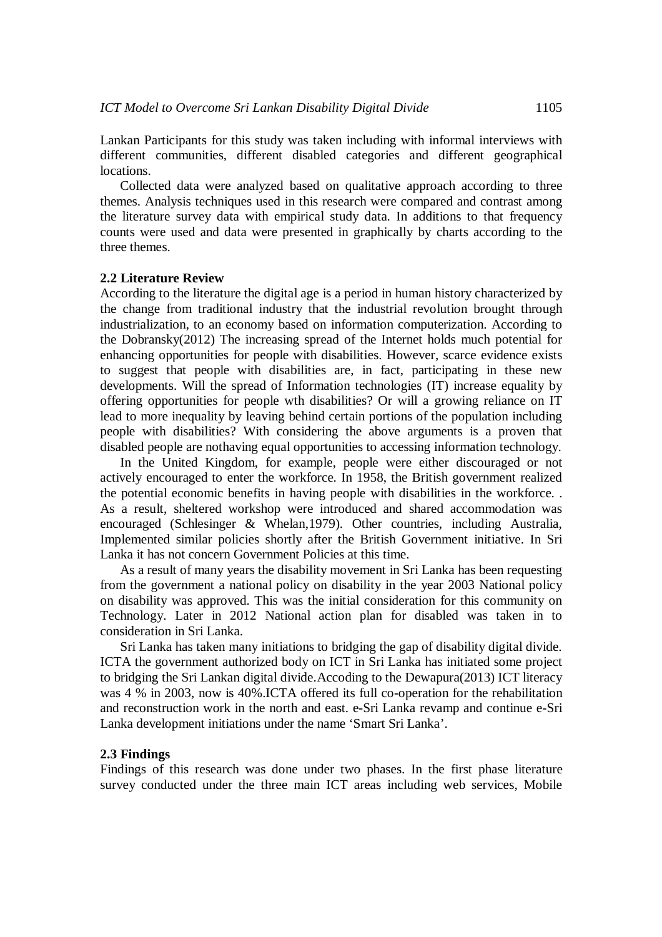Lankan Participants for this study was taken including with informal interviews with different communities, different disabled categories and different geographical locations.

Collected data were analyzed based on qualitative approach according to three themes. Analysis techniques used in this research were compared and contrast among the literature survey data with empirical study data. In additions to that frequency counts were used and data were presented in graphically by charts according to the three themes.

#### **2.2 Literature Review**

According to the literature the digital age is a period in human history characterized by the change from traditional industry that the industrial revolution brought through industrialization, to an economy based on information computerization. According to the Dobransky(2012) The increasing spread of the Internet holds much potential for enhancing opportunities for people with disabilities. However, scarce evidence exists to suggest that people with disabilities are, in fact, participating in these new developments. Will the spread of Information technologies (IT) increase equality by offering opportunities for people wth disabilities? Or will a growing reliance on IT lead to more inequality by leaving behind certain portions of the population including people with disabilities? With considering the above arguments is a proven that disabled people are nothaving equal opportunities to accessing information technology.

In the United Kingdom, for example, people were either discouraged or not actively encouraged to enter the workforce. In 1958, the British government realized the potential economic benefits in having people with disabilities in the workforce. . As a result, sheltered workshop were introduced and shared accommodation was encouraged (Schlesinger & Whelan,1979). Other countries, including Australia, Implemented similar policies shortly after the British Government initiative. In Sri Lanka it has not concern Government Policies at this time.

As a result of many years the disability movement in Sri Lanka has been requesting from the government a national policy on disability in the year 2003 National policy on disability was approved. This was the initial consideration for this community on Technology. Later in 2012 National action plan for disabled was taken in to consideration in Sri Lanka.

Sri Lanka has taken many initiations to bridging the gap of disability digital divide. ICTA the government authorized body on ICT in Sri Lanka has initiated some project to bridging the Sri Lankan digital divide.Accoding to the Dewapura(2013) ICT literacy was 4 % in 2003, now is 40%.ICTA offered its full co-operation for the rehabilitation and reconstruction work in the north and east. e-Sri Lanka revamp and continue e-Sri Lanka development initiations under the name 'Smart Sri Lanka'.

#### **2.3 Findings**

Findings of this research was done under two phases. In the first phase literature survey conducted under the three main ICT areas including web services, Mobile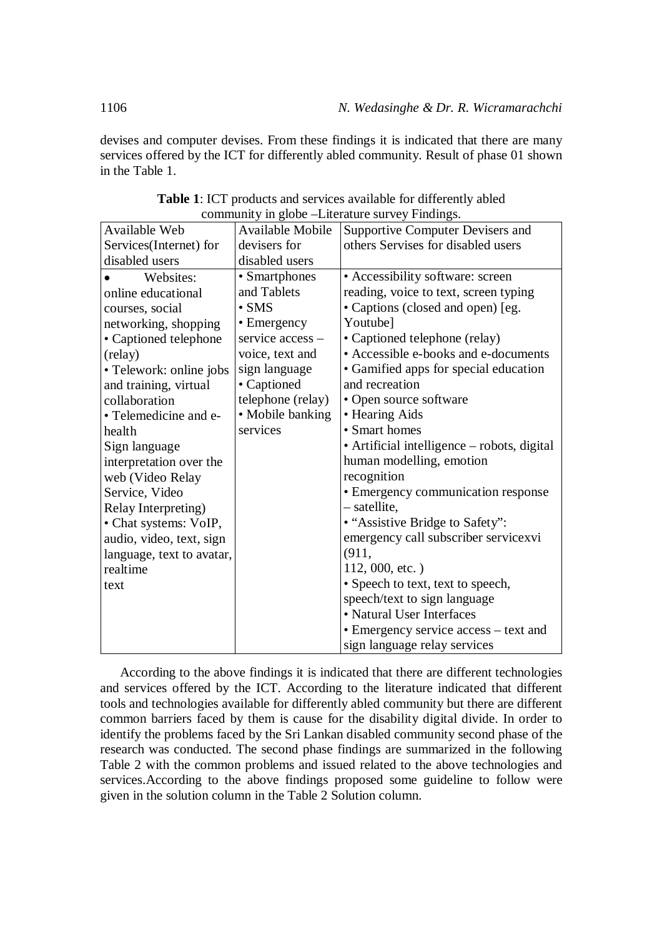devises and computer devises. From these findings it is indicated that there are many services offered by the ICT for differently abled community. Result of phase 01 shown in the Table 1.

|                           |                         | community in groce Encrutate survey i munities. |  |
|---------------------------|-------------------------|-------------------------------------------------|--|
| Available Web             | <b>Available Mobile</b> | Supportive Computer Devisers and                |  |
| Services(Internet) for    | devisers for            | others Servises for disabled users              |  |
| disabled users            | disabled users          |                                                 |  |
| Websites:                 | • Smartphones           | • Accessibility software: screen                |  |
| online educational        | and Tablets             | reading, voice to text, screen typing           |  |
| courses, social           | $\bullet$ SMS           | • Captions (closed and open) [eg.               |  |
| networking, shopping      | • Emergency             | Youtube]                                        |  |
| • Captioned telephone     | service access -        | • Captioned telephone (relay)                   |  |
| (relay)                   | voice, text and         | • Accessible e-books and e-documents            |  |
| • Telework: online jobs   | sign language           | • Gamified apps for special education           |  |
| and training, virtual     | • Captioned             | and recreation                                  |  |
| collaboration             | telephone (relay)       | • Open source software                          |  |
| • Telemedicine and e-     | • Mobile banking        | • Hearing Aids                                  |  |
| health                    | services                | • Smart homes                                   |  |
| Sign language             |                         | • Artificial intelligence – robots, digital     |  |
| interpretation over the   |                         | human modelling, emotion                        |  |
| web (Video Relay          |                         | recognition                                     |  |
| Service, Video            |                         | • Emergency communication response              |  |
| Relay Interpreting)       |                         | $-$ satellite,                                  |  |
| • Chat systems: VoIP,     |                         | • "Assistive Bridge to Safety":                 |  |
| audio, video, text, sign  |                         | emergency call subscriber servicexvi            |  |
| language, text to avatar, |                         | (911,                                           |  |
| realtime                  |                         | 112, 000, etc.)                                 |  |
| text                      |                         | • Speech to text, text to speech,               |  |
|                           |                         | speech/text to sign language                    |  |
|                           |                         | • Natural User Interfaces                       |  |
|                           |                         | • Emergency service access – text and           |  |
|                           |                         | sign language relay services                    |  |

**Table 1**: ICT products and services available for differently abled community in globe –Literature survey Findings.

According to the above findings it is indicated that there are different technologies and services offered by the ICT. According to the literature indicated that different tools and technologies available for differently abled community but there are different common barriers faced by them is cause for the disability digital divide. In order to identify the problems faced by the Sri Lankan disabled community second phase of the research was conducted. The second phase findings are summarized in the following Table 2 with the common problems and issued related to the above technologies and services.According to the above findings proposed some guideline to follow were given in the solution column in the Table 2 Solution column.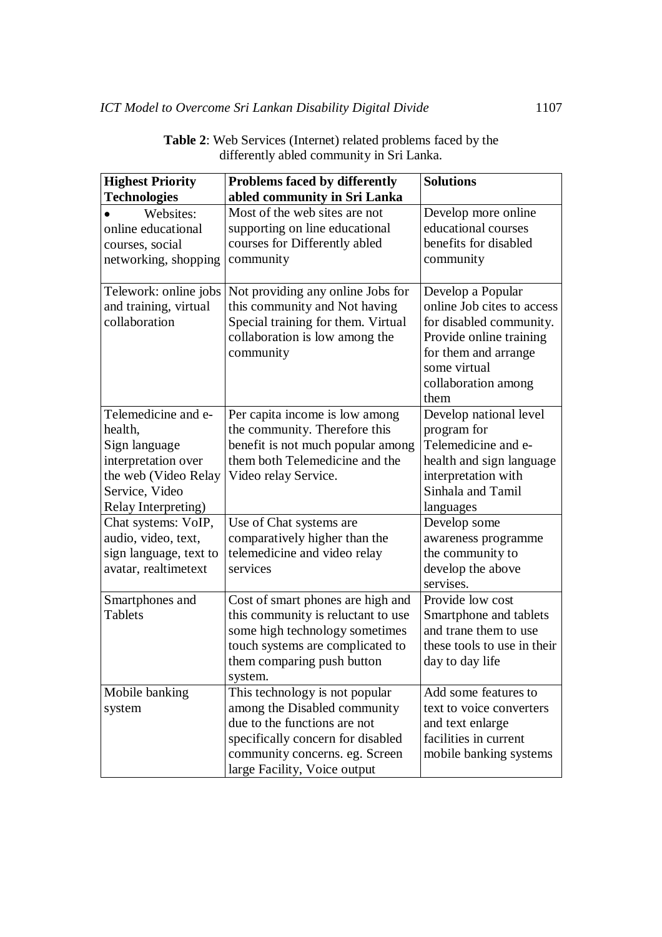| <b>Highest Priority</b> | <b>Problems faced by differently</b>     | <b>Solutions</b>            |
|-------------------------|------------------------------------------|-----------------------------|
| <b>Technologies</b>     | abled community in Sri Lanka             |                             |
| Websites:               | Most of the web sites are not            | Develop more online         |
| online educational      | supporting on line educational           | educational courses         |
| courses, social         | courses for Differently abled            | benefits for disabled       |
| networking, shopping    | community                                | community                   |
|                         |                                          |                             |
| Telework: online jobs   | Not providing any online Jobs for        | Develop a Popular           |
| and training, virtual   | this community and Not having            | online Job cites to access  |
| collaboration           | Special training for them. Virtual       | for disabled community.     |
|                         | collaboration is low among the           | Provide online training     |
|                         | community                                | for them and arrange        |
|                         |                                          | some virtual                |
|                         |                                          | collaboration among         |
|                         |                                          | them                        |
| Telemedicine and e-     | Per capita income is low among           | Develop national level      |
| health,                 | the community. Therefore this            | program for                 |
| Sign language           | benefit is not much popular among        | Telemedicine and e-         |
| interpretation over     | them both Telemedicine and the           | health and sign language    |
| the web (Video Relay    | Video relay Service.                     | interpretation with         |
| Service, Video          |                                          | Sinhala and Tamil           |
| Relay Interpreting)     |                                          | languages                   |
| Chat systems: VoIP,     | Use of Chat systems are                  | Develop some                |
| audio, video, text,     | comparatively higher than the            |                             |
|                         |                                          | awareness programme         |
| sign language, text to  | telemedicine and video relay<br>services | the community to            |
| avatar, realtimetext    |                                          | develop the above           |
|                         |                                          | servises.                   |
| Smartphones and         | Cost of smart phones are high and        | Provide low cost            |
| <b>Tablets</b>          | this community is reluctant to use       | Smartphone and tablets      |
|                         | some high technology sometimes           | and trane them to use       |
|                         | touch systems are complicated to         | these tools to use in their |
|                         | them comparing push button               | day to day life             |
|                         | system.                                  |                             |
| Mobile banking          | This technology is not popular           | Add some features to        |
| system                  | among the Disabled community             | text to voice converters    |
|                         | due to the functions are not             | and text enlarge            |
|                         | specifically concern for disabled        | facilities in current       |
|                         | community concerns. eg. Screen           | mobile banking systems      |
|                         | large Facility, Voice output             |                             |

**Table 2**: Web Services (Internet) related problems faced by the differently abled community in Sri Lanka.